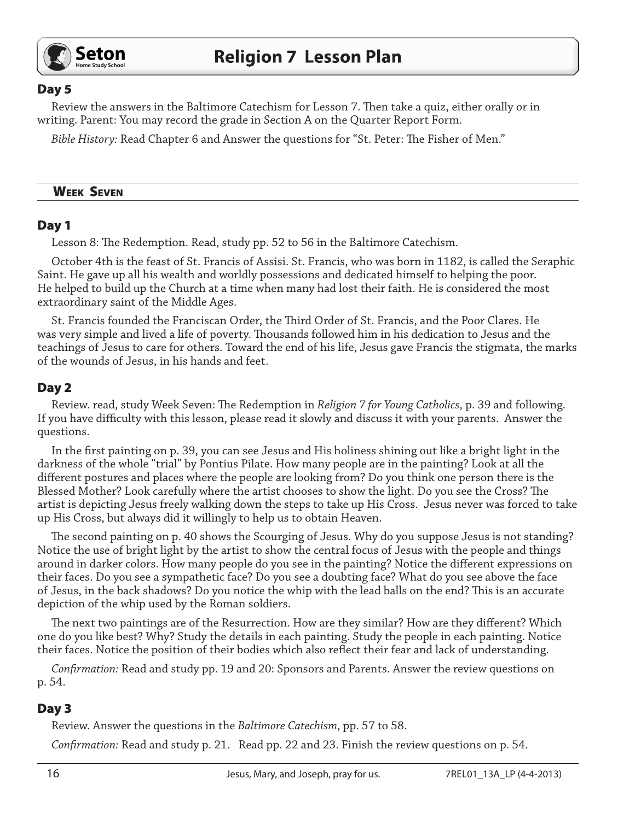

#### Day 5

Review the answers in the Baltimore Catechism for Lesson 7. Then take a quiz, either orally or in writing. Parent: You may record the grade in Section A on the Quarter Report Form.

*Bible History:* Read Chapter 6 and Answer the questions for "St. Peter: The Fisher of Men."

#### Week Seven

#### Day 1

Lesson 8: The Redemption. Read, study pp. 52 to 56 in the Baltimore Catechism.

October 4th is the feast of St. Francis of Assisi. St. Francis, who was born in 1182, is called the Seraphic Saint. He gave up all his wealth and worldly possessions and dedicated himself to helping the poor. He helped to build up the Church at a time when many had lost their faith. He is considered the most extraordinary saint of the Middle Ages.

St. Francis founded the Franciscan Order, the Third Order of St. Francis, and the Poor Clares. He was very simple and lived a life of poverty. Thousands followed him in his dedication to Jesus and the teachings of Jesus to care for others. Toward the end of his life, Jesus gave Francis the stigmata, the marks of the wounds of Jesus, in his hands and feet.

#### Day 2

Review. read, study Week Seven: The Redemption in *Religion 7 for Young Catholics*, p. 39 and following. If you have difficulty with this lesson, please read it slowly and discuss it with your parents. Answer the questions.

In the first painting on p. 39, you can see Jesus and His holiness shining out like a bright light in the darkness of the whole "trial" by Pontius Pilate. How many people are in the painting? Look at all the different postures and places where the people are looking from? Do you think one person there is the Blessed Mother? Look carefully where the artist chooses to show the light. Do you see the Cross? The artist is depicting Jesus freely walking down the steps to take up His Cross. Jesus never was forced to take up His Cross, but always did it willingly to help us to obtain Heaven.

The second painting on p. 40 shows the Scourging of Jesus. Why do you suppose Jesus is not standing? Notice the use of bright light by the artist to show the central focus of Jesus with the people and things around in darker colors. How many people do you see in the painting? Notice the different expressions on their faces. Do you see a sympathetic face? Do you see a doubting face? What do you see above the face of Jesus, in the back shadows? Do you notice the whip with the lead balls on the end? This is an accurate depiction of the whip used by the Roman soldiers.

The next two paintings are of the Resurrection. How are they similar? How are they different? Which one do you like best? Why? Study the details in each painting. Study the people in each painting. Notice their faces. Notice the position of their bodies which also reflect their fear and lack of understanding.

*Confirmation:* Read and study pp. 19 and 20: Sponsors and Parents. Answer the review questions on p. 54.

## Day 3

Review. Answer the questions in the *Baltimore Catechism*, pp. 57 to 58.

*Confirmation:* Read and study p. 21. Read pp. 22 and 23. Finish the review questions on p. 54.